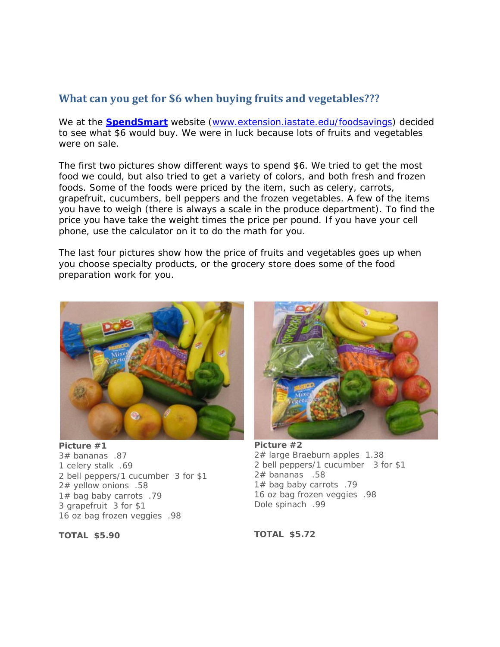## **What can you get for \$6 when buying fruits and vegetables???**

We at the **SpendSmart** website (*www.extension.iastate.edu/foodsavings*) decided to see what \$6 would buy. We were in luck because lots of fruits and vegetables were on sale.

The first two pictures show different ways to spend \$6. We tried to get the most food we could, but also tried to get a variety of colors, and both fresh and frozen foods. Some of the foods were priced by the item, such as celery, carrots, grapefruit, cucumbers, bell peppers and the frozen vegetables. A few of the items you have to weigh (there is always a scale in the produce department). To find the price you have take the weight times the price per pound. If you have your cell phone, use the calculator on it to do the math for you.

The last four pictures show how the price of fruits and vegetables goes up when you choose specialty products, or the grocery store does some of the food preparation work for you.



**Picture #1** 3# bananas .87 1 celery stalk .69 2 bell peppers/1 cucumber 3 for \$1 2# yellow onions .58 1# bag baby carrots .79 3 grapefruit 3 for \$1 16 oz bag frozen veggies .98



**Picture #2** 2# large Braeburn apples 1.38 2 bell peppers/1 cucumber 3 for \$1 2# bananas .58 1# bag baby carrots .79 16 oz bag frozen veggies .98 Dole spinach .99

**TOTAL \$5.90**

**TOTAL \$5.72**